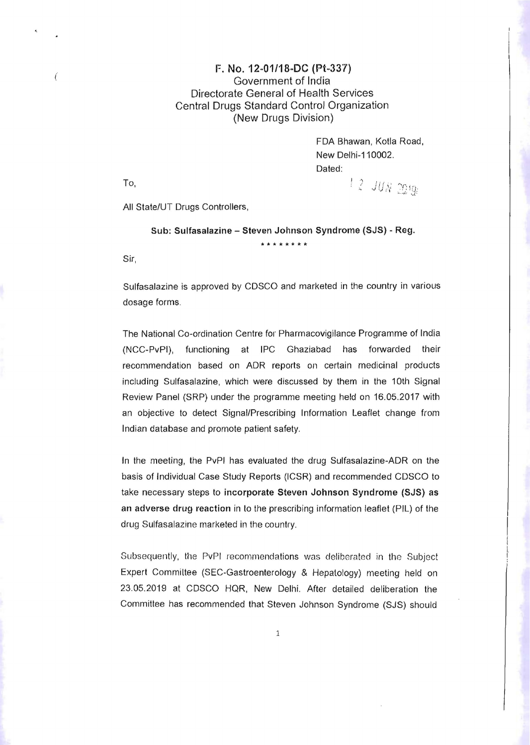## **F. No. 12-01/18-DC (Pt-337)**<br>Government of India Directorate General of Health Services Central Drugs Standard Control Organization (New Drugs Division)

FDA Bhawan, Kotla Road, New Delhi-110002. Dated: To, **I** 2 *JUN* 2019;

All State/UT Drugs Controllers,

## Sub: Sulfasalazine - Steven Johnson Syndrome (SJS) - Reg. **\*\*\*\*\*\*\*\***

Sir,

Sulfasalazine is approved by CDSCO and marketed in the country in various dosage forms.

The National Co-ordination Centre for Pharmacovigilance Programme of India (NCC-PvPI), functioning at IPC Ghaziabad has forwarded their recommendation based on ADR reports on certain medicinal products including Sulfasalazine, which were discussed by them in the 10th Signal Review Panel (SRP) under the programme meeting held on 16.05.2017 with an objective to detect Signal/Prescribing Information Leaflet change from Indian database and promote patient safety.

In the meeting, the PvPI has evaluated the drug Sulfasalazine-ADR on the basis of Individual Case Study Reports (ICSR) and recommended CDSCO to take necessary steps to incorporate Steven Johnson Syndrome (SJS) as an adverse drug reaction in 10 the prescribing information leaflet (PIL) of the drug Sulfasalazine marketed in the country.

Subsequently, the PvPI recommendations was deliberated in the Subject Expert Committee (SEC-Gastroenterology & Hepalology) meeting held on 23.05.2019 at CDSCO HQR, New Delhi. After detailed deliberation the Committee has recommended that Steven Johnson Syndrome (SJS) should